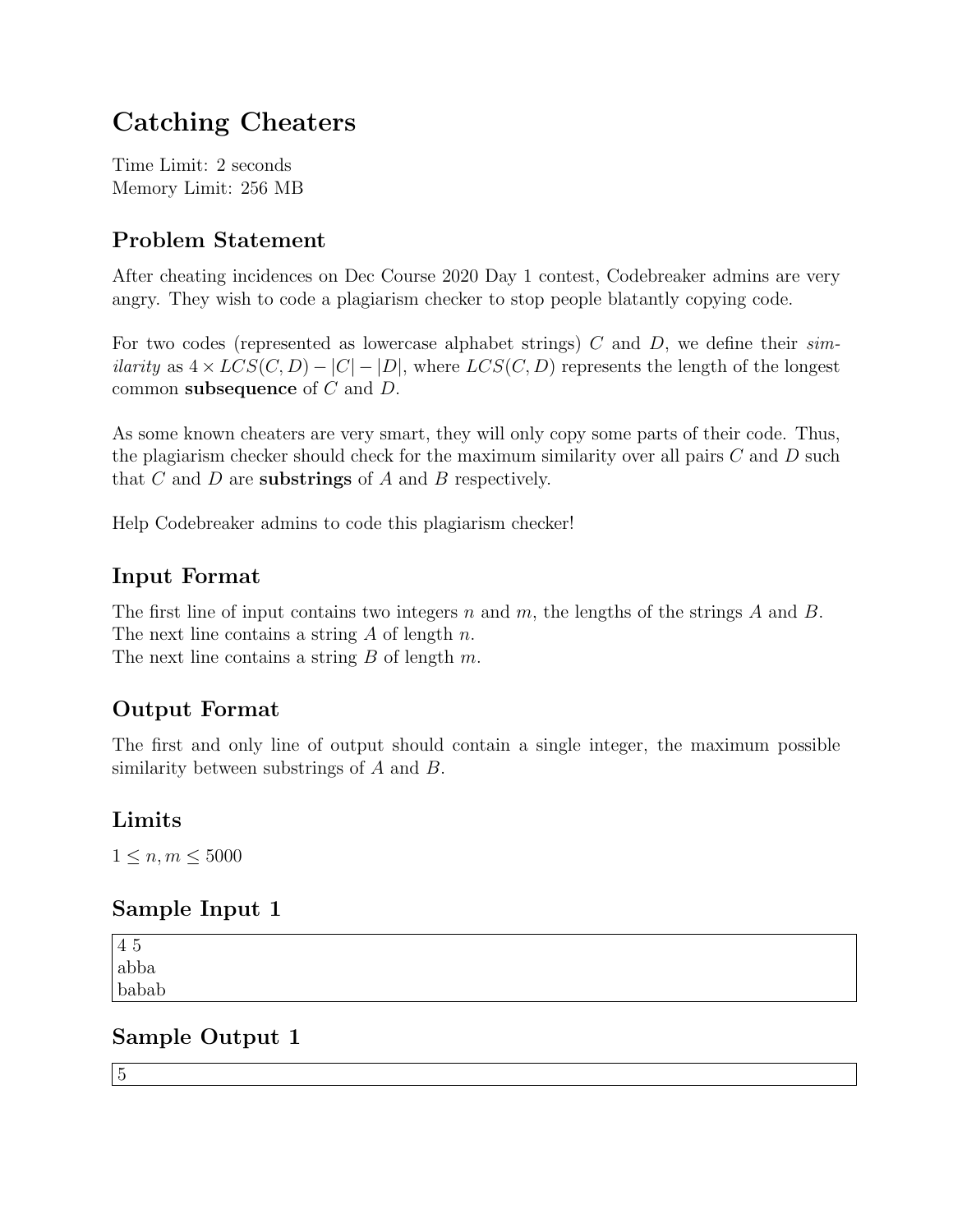## Catching Cheaters

Time Limit: 2 seconds Memory Limit: 256 MB

#### Problem Statement

After cheating incidences on Dec Course 2020 Day 1 contest, Codebreaker admins are very angry. They wish to code a plagiarism checker to stop people blatantly copying code.

For two codes (represented as lowercase alphabet strings) C and D, we define their  $sim$ *ilarity* as  $4 \times LCS(C, D) - |C| - |D|$ , where  $LCS(C, D)$  represents the length of the longest common subsequence of C and D.

As some known cheaters are very smart, they will only copy some parts of their code. Thus, the plagiarism checker should check for the maximum similarity over all pairs  $C$  and  $D$  such that  $C$  and  $D$  are **substrings** of  $A$  and  $B$  respectively.

Help Codebreaker admins to code this plagiarism checker!

#### Input Format

The first line of input contains two integers n and m, the lengths of the strings A and B. The next line contains a string  $A$  of length  $n$ . The next line contains a string  $B$  of length  $m$ .

## Output Format

The first and only line of output should contain a single integer, the maximum possible similarity between substrings of A and B.

#### Limits

 $1 \le n, m \le 5000$ 

#### Sample Input 1

| 45                    |  |  |
|-----------------------|--|--|
| $\operatorname{abba}$ |  |  |
| babab                 |  |  |
|                       |  |  |

#### Sample Output 1

5